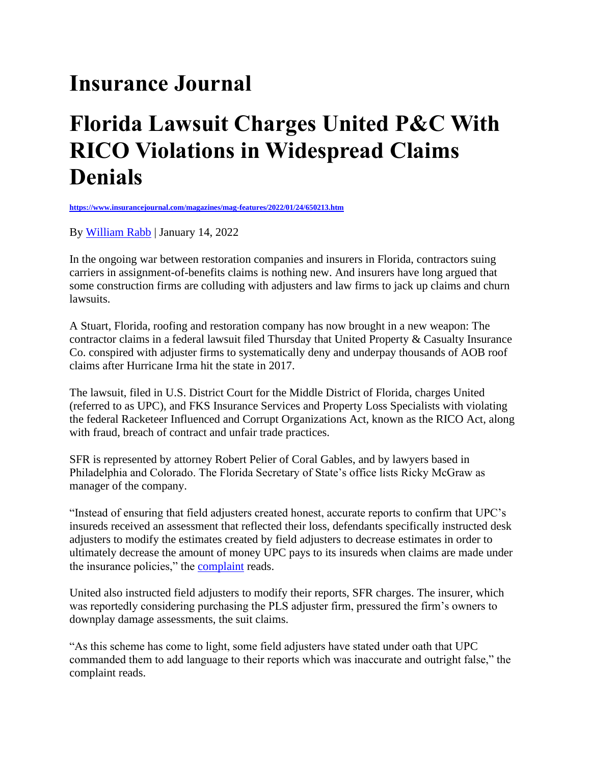## **Insurance Journal**

## **Florida Lawsuit Charges United P&C With RICO Violations in Widespread Claims Denials**

**<https://www.insurancejournal.com/magazines/mag-features/2022/01/24/650213.htm>**

By [William Rabb](https://www.insurancejournal.com/author/wrabb/) | January 14, 2022

In the ongoing war between restoration companies and insurers in Florida, contractors suing carriers in assignment-of-benefits claims is nothing new. And insurers have long argued that some construction firms are colluding with adjusters and law firms to jack up claims and churn lawsuits.

A Stuart, Florida, roofing and restoration company has now brought in a new weapon: The contractor claims in a federal lawsuit filed Thursday that United Property & Casualty Insurance Co. conspired with adjuster firms to systematically deny and underpay thousands of AOB roof claims after Hurricane Irma hit the state in 2017.

The lawsuit, filed in U.S. District Court for the Middle District of Florida, charges United (referred to as UPC), and FKS Insurance Services and Property Loss Specialists with violating the federal Racketeer Influenced and Corrupt Organizations Act, known as the RICO Act, along with fraud, breach of contract and unfair trade practices.

SFR is represented by attorney Robert Pelier of Coral Gables, and by lawyers based in Philadelphia and Colorado. The Florida Secretary of State's office lists Ricky McGraw as manager of the company.

"Instead of ensuring that field adjusters created honest, accurate reports to confirm that UPC's insureds received an assessment that reflected their loss, defendants specifically instructed desk adjusters to modify the estimates created by field adjusters to decrease estimates in order to ultimately decrease the amount of money UPC pays to its insureds when claims are made under the insurance policies," the **complaint** reads.

United also instructed field adjusters to modify their reports, SFR charges. The insurer, which was reportedly considering purchasing the PLS adjuster firm, pressured the firm's owners to downplay damage assessments, the suit claims.

"As this scheme has come to light, some field adjusters have stated under oath that UPC commanded them to add language to their reports which was inaccurate and outright false," the complaint reads.